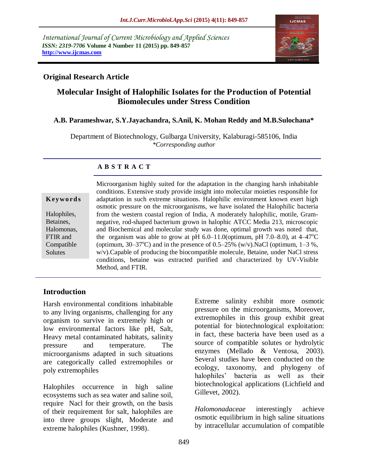*International Journal of Current Microbiology and Applied Sciences ISSN: 2319-7706* **Volume 4 Number 11 (2015) pp. 849-857 http://www.ijcmas.com** 



## **Original Research Article**

# **Molecular Insight of Halophilic Isolates for the Production of Potential Biomolecules under Stress Condition**

### **A.B. Parameshwar, S.Y.Jayachandra, S.Anil, K. Mohan Reddy and M.B.Sulochana\***

Department of Biotechnology, Gulbarga University, Kalaburagi-585106, India *\*Corresponding author*

### **A B S T R A C T**

#### **K ey w o rd s**

Halophiles, Betaines, Halomonas, FTIR and Compatible **Solutes** 

Microorganism highly suited for the adaptation in the changing harsh inhabitable conditions. Extensive study provide insight into molecular moieties responsible for adaptation in such extreme situations. Halophilic environment known exert high osmotic pressure on the microorganisms, we have isolated the Halophilic bacteria from the western coastal region of India, A moderately halophilic, motile, Gramnegative, rod-shaped bacterium grown in halophic ATCC Media 213, microscopic and Biochemical and molecular study was done, optimal growth was noted that, the organism was able to grow at pH  $6.0-11.0$ (optimum, pH  $7.0-8.0$ ), at  $4-47^{\circ}$ C (optimum,  $30-37^{\circ}$ C) and in the presence of  $0.5-25\%$  (w/v).NaCl (optimum,  $1-3\%$ , w/v).Capable of producing the biocompatible molecule, Betaine, under NaCl stress conditions, betaine was extracted purified and characterized by UV-Visible Method, and FTIR.

### **Introduction**

Harsh environmental conditions inhabitable to any living organisms, challenging for any organism to survive in extremely high or low environmental factors like pH, Salt, Heavy metal contaminated habitats, salinity pressure and temperature. The microorganisms adapted in such situations are categorically called extremophiles or poly extremophiles

Halophiles occurrence in high saline ecosystems such as sea water and saline soil, require Nacl for their growth, on the basis of their requirement for salt, halophiles are into three groups slight, Moderate and extreme halophiles (Kushner, 1998).

Extreme salinity exhibit more osmotic pressure on the microorganisms, Moreover, extremophiles in this group exhibit great potential for biotechnological exploitation: in fact, these bacteria have been used as a source of compatible solutes or hydrolytic enzymes (Mellado & Ventosa, 2003). Several studies have been conducted on the ecology, taxonomy, and phylogeny of halophiles' bacteria as well as their biotechnological applications (Lichfield and Gillevet, 2002).

*Halomonadaceae* interestingly achieve osmotic equilibrium in high saline situations by intracellular accumulation of compatible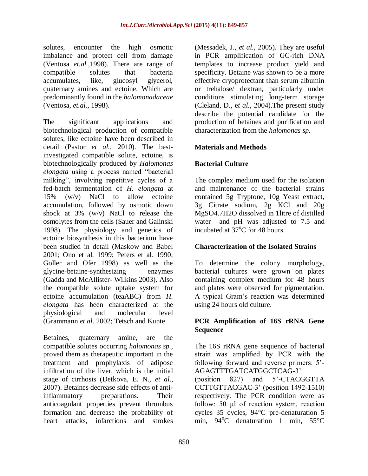solutes, encounter the high osmotic imbalance and protect cell from damage (Ventosa *et.al.,*1998). There are range of compatible solutes that bacteria accumulates, like, glucosyl glycerol, quaternary amines and ectoine. Which are predominantly found in the *halomonadaceae*  (Ventosa, *et.al*., 1998).

The significant applications and biotechnological production of compatible solutes, like ectoine have been described in detail (Pastor *et al.,* 2010). The bestinvestigated compatible solute, ectoine, is biotechnologically produced by *Halomonas elongata* using a process named "bacterial milking", involving repetitive cycles of a fed-batch fermentation of *H. elongata* at 15% (w/v) NaCl to allow ectoine accumulation, followed by osmotic down shock at 3% (w/v) NaCl to release the osmolytes from the cells (Sauer and Galinski 1998). The physiology and genetics of ectoine biosynthesis in this bacterium have been studied in detail (Maskow and Babel 2001; Ono et al. 1999; Peters et al. 1990; Goller and Ofer 1998) as well as the glycine-betaine-synthesizing enzymes (Gadda and McAllister- Wilkins 2003). Also the compatible solute uptake system for ectoine accumulation (teaABC) from *H. elongata* has been characterized at the physiological and molecular level (Grammann *et al*. 2002; Tetsch and Kunte

Betaines, quaternary amine, are the compatible solutes occurring *halomonas sp.,*  proved them as therapeutic important in the treatment and prophylaxis of adipose infiltration of the liver, which is the initial stage of cirrhosis (Detkova, E. N., *et al*., 2007). Betaines decrease side effects of antiinflammatory preparations. Their anticoagulant properties prevent thrombus formation and decrease the probability of heart attacks, infarctions and strokes

(Messadek, J., *et al.,* 2005). They are useful in PCR amplification of GC-rich DNA templates to increase product yield and specificity. Betaine was shown to be a more effective cryoprotectant than serum albumin or trehalose/ dextran, particularly under conditions stimulating long-term storage (Cleland, D., e*t al.,* 2004).The present study describe the potential candidate for the production of betaines and purification and characterization from the *halomonas sp.*

### **Materials and Methods**

### **Bacterial Culture**

The complex medium used for the isolation and maintenance of the bacterial strains contained 5g Tryptone, 10g Yeast extract, 3g Citrate sodium, 2g KCl and 20g MgSO4.7H2O dissolved in 1litre of distilled water and pH was adjusted to 7.5 and incubated at  $37^{\circ}$ C for 48 hours.

### **Characterization of the Isolated Strains**

To determine the colony morphology, bacterial cultures were grown on plates containing complex medium for 48 hours and plates were observed for pigmentation. A typical Gram's reaction was determined using 24 hours old culture.

### **PCR Amplification of 16S rRNA Gene Sequence**

The 16S rRNA gene sequence of bacterial strain was amplified by PCR with the following forward and reverse primers: 5'- AGAGTTTGATCATGGCTCAG-3'

(position 827) and 5'-CTACGGTTA CCTTGTTACGAC-3' (position 1492-1510) respectively. The PCR condition were as follow: 50 μl of reaction system, reaction cycles 35 cycles, 94°C pre-denaturation 5 min.  $94^{\circ}$ C denaturation 1 min,  $55^{\circ}$ C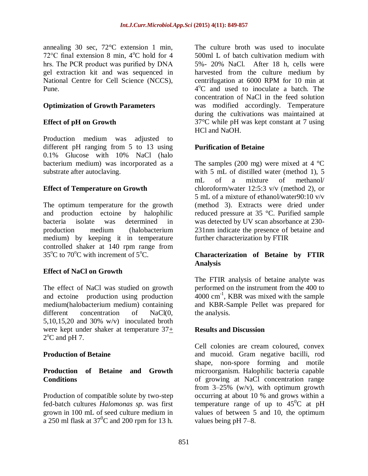annealing 30 sec, 72°C extension 1 min, 72 $\degree$ C final extension 8 min, 4 $\degree$ C hold for 4 hrs. The PCR product was purified by DNA gel extraction kit and was sequenced in National Centre for Cell Science (NCCS), Pune.

### **Optimization of Growth Parameters**

### **Effect of pH on Growth**

Production medium was adjusted to different pH ranging from 5 to 13 using 0.1% Glucose with 10% NaCl (halo bacterium medium) was incorporated as a substrate after autoclaving.

### **Effect of Temperature on Growth**

The optimum temperature for the growth and production ectoine by halophilic bacteria isolate was determined in production medium (halobacterium medium) by keeping it in temperature controlled shaker at 140 rpm range from  $35^{\circ}$ C to  $70^{\circ}$ C with increment of  $5^{\circ}$ C.

#### **Effect of NaCl on Growth**

The effect of NaCl was studied on growth and ectoine production using production medium(halobacterium medium) containing different concentration of NaCl(0, 5,10,15,20 and 30%  $w/v$  inoculated broth were kept under shaker at temperature  $37<sub>+</sub>$  $2^{\circ}$ C and pH 7.

#### **Production of Betaine**

### **Production of Betaine and Growth Conditions**

Production of compatible solute by two-step fed-batch cultures *Halomonas sp.* was first grown in 100 mL of seed culture medium in a 250 ml flask at  $37^{\circ}$ C and 200 rpm for 13 h.

The culture broth was used to inoculate 500ml L of batch cultivation medium with 5%- 20% NaCl. After 18 h, cells were harvested from the culture medium by centrifugation at 6000 RPM for 10 min at 4 <sup>o</sup>C and used to inoculate a batch. The concentration of NaCl in the feed solution was modified accordingly. Temperature during the cultivations was maintained at 37°C while pH was kept constant at 7 using HCl and NaOH.

### **Purification of Betaine**

The samples (200 mg) were mixed at  $4 \degree C$ with 5 mL of distilled water (method 1), 5 mL of a mixture of methanol/ chloroform/water 12:5:3 v/v (method 2), or 5 mL of a mixture of ethanol/water90:10 v/v (method 3). Extracts were dried under reduced pressure at 35 °C. Purified sample was detected by UV scan absorbance at 230- 231nm indicate the presence of betaine and further characterization by FTIR

### **Characterization of Betaine by FTIR Analysis**

The FTIR analysis of betaine analyte was performed on the instrument from the 400 to  $4000 \text{ cm}^{-1}$ , KBR was mixed with the sample and KBR-Sample Pellet was prepared for the analysis.

### **Results and Discussion**

Cell colonies are cream coloured, convex and mucoid. Gram negative bacilli, rod shape, non-spore forming and motile microorganism. Halophilic bacteria capable of growing at NaCl concentration range from  $3-25\%$  (w/v), with optimum growth occurring at about 10 % and grows within a temperature range of up to  $45^{\circ}$ C at pH values of between 5 and 10, the optimum values being pH 7–8.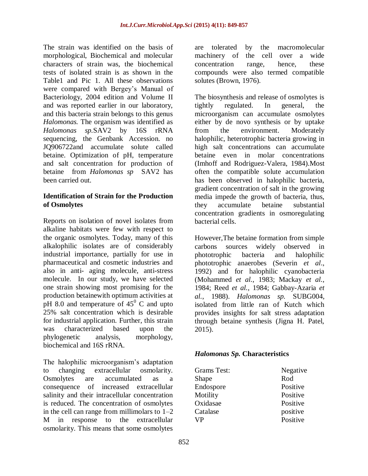The strain was identified on the basis of morphological, Biochemical and molecular characters of strain was, the biochemical tests of isolated strain is as shown in the Table1 and Pic 1. All these observations were compared with Bergey's Manual of Bacteriology, 2004 edition and Volume II and was reported earlier in our laboratory, and this bacteria strain belongs to this genus *Halomonas.* The organism was identified as *Halomonas sp.*SAV2 by 16S rRNA sequencing, the Genbank Accession. no JQ906722and accumulate solute called betaine. Optimization of pH, temperature and salt concentration for production of betaine from *Halomonas sp* SAV2 has been carried out.

### **Identification of Strain for the Production of Osmolytes**

Reports on isolation of novel isolates from alkaline habitats were few with respect to the organic osmolytes. Today, many of this alkalophilic isolates are of considerably industrial importance, partially for use in pharmaceutical and cosmetic industries and also in anti- aging molecule, anti-stress molecule. In our study, we have selected one strain showing most promising for the production betainewith optimum activities at pH 8.0 and temperature of  $45^{\circ}$  C and upto 25% salt concentration which is desirable for industrial application. Further, this strain was characterized based upon the phylogenetic analysis, morphology, biochemical and 16S rRNA.

The halophilic microorganism's adaptation to changing extracellular osmolarity. Osmolytes are accumulated as a consequence of increased extracellular salinity and their intracellular concentration is reduced. The concentration of osmolytes in the cell can range from millimolars to 1–2 M in response to the extracellular osmolarity. This means that some osmolytes

are tolerated by the macromolecular machinery of the cell over a wide concentration range, hence, these compounds were also termed compatible solutes (Brown, 1976).

The biosynthesis and release of osmolytes is tightly regulated. In general, the microorganism can accumulate osmolytes either by de novo synthesis or by uptake from the environment. Moderately halophilic, heterotrophic bacteria growing in high salt concentrations can accumulate betaine even in molar concentrations (Imhoff and Rodriguez-Valera, 1984).Most often the compatible solute accumulation has been observed in halophilic bacteria, gradient concentration of salt in the growing media impede the growth of bacteria, thus, they accumulate betaine substantial concentration gradients in osmoregulating bacterial cells.

However,The betaine formation from simple carbons sources widely observed in phototrophic bacteria and halophilic phototrophic anaerobes (Severin *et al*., 1992) and for halophilic cyanobacteria (Mohammed *et al.*, 1983; Mackay *et al.*, 1984; Reed *et al.*, 1984; Gabbay-Azaria *et al.*, 1988). *Halomonas sp.* SUBG004, isolated from little ran of Kutch which provides insights for salt stress adaptation through betaine synthesis (Jigna H. Patel, 2015).

### *Halomonas Sp.* **Characteristics**

| Grams Test: | Negative |  |
|-------------|----------|--|
| Shape       | Rod      |  |
| Endospore   | Positive |  |
| Motility    | Positive |  |
| Oxidasae    | Positive |  |
| Catalase    | positive |  |
| <b>VP</b>   | Positive |  |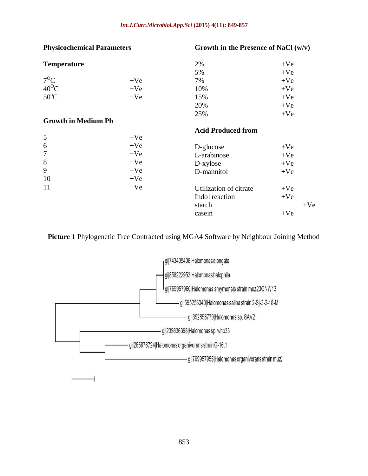#### *Int.J.Curr.Microbiol.App.Sci* **(2015) 4(11): 849-857**

| <b>Physicochemical Parameters</b> |       | Growth in the Presence of NaCl $(w/v)$ |       |       |
|-----------------------------------|-------|----------------------------------------|-------|-------|
| <b>Temperature</b>                |       | 2%                                     | $+Ve$ |       |
|                                   |       | 5%                                     | $+Ve$ |       |
| $7^{\circ}C$                      | $+Ve$ | 7%                                     | $+Ve$ |       |
| $40^{\circ}$ C                    | $+Ve$ | 10%                                    | $+Ve$ |       |
| $50^{\circ}$ C                    | $+Ve$ | 15%                                    | $+Ve$ |       |
|                                   |       | 20%                                    | $+Ve$ |       |
|                                   |       | 25%                                    | $+Ve$ |       |
| <b>Growth in Medium Ph</b>        |       |                                        |       |       |
|                                   |       | <b>Acid Produced from</b>              |       |       |
| 5                                 | $+Ve$ |                                        |       |       |
| 6                                 | $+Ve$ | D-glucose                              | $+Ve$ |       |
| 7                                 | $+Ve$ | L-arabinose                            | $+Ve$ |       |
| 8                                 | $+Ve$ | D-xylose                               | $+Ve$ |       |
| 9                                 | $+Ve$ | D-mannitol                             | $+Ve$ |       |
| 10                                | $+Ve$ |                                        |       |       |
| 11                                | $+Ve$ | Utilization of citrate                 | $+Ve$ |       |
|                                   |       | Indol reaction                         | $+Ve$ |       |
|                                   |       | starch                                 |       | $+Ve$ |
|                                   |       | casein                                 | $+Ve$ |       |

**Picture 1** Phylogenetic Tree Contracted using MGA4 Software by Neighbour Joining Method

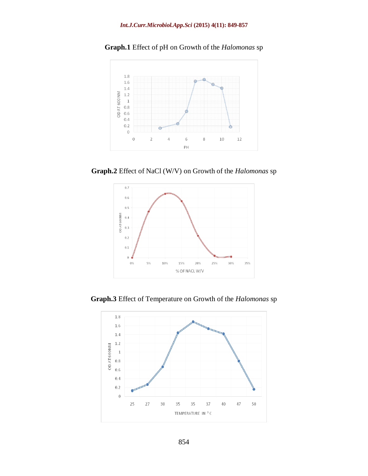

**Graph.1** Effect of pH on Growth of the *Halomonas* sp

**Graph.2** Effect of NaCl (W/V) on Growth of the *Halomonas* sp



**Graph.3** Effect of Temperature on Growth of the *Halomonas* sp

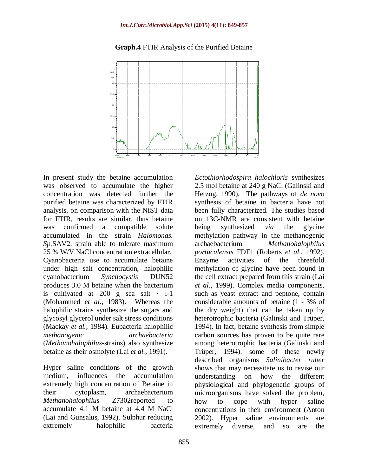

#### **Graph.4** FTIR Analysis of the Purified Betaine

In present study the betaine accumulation was observed to accumulate the higher concentration was detected further the purified betaine was characterized by FTIR analysis, on comparison with the NIST data for FTIR, results are similar, thus betaine was confirmed a compatible solute accumulated in the strain *Halomonas. Sp.*SAV2. strain able to tolerate maximum 25 % W/V NaCl concentration extracellular. Cyanobacteria use to accumulate betaine under high salt concentration, halophilic cyanobacterium *Synchocystis* DUN52 produces 3.0 M betaine when the bacterium is cultivated at  $200$  g sea salt  $\cdot$  1-1 (Mohammed *et al.*, 1983). Whereas the halophilic strains synthesize the sugars and glycosyl glycerol under salt stress conditions (Mackay *et al.,* 1984). Eubacteria halophilic *methanogenic archaebacteria* (*Methanohalophilus*-strains) also synthesize betaine as their osmolyte (Lai *et al.*, 1991).

Hyper saline conditions of the growth medium, influences the accumulation extremely high concentration of Betaine in their cytoplasm, archaebacterium *Methanohalophilus* Z7302reported to accumulate 4.1 M betaine at 4.4 M NaCl (Lai and Gunsalus, 1992). Sulphur reducing extremely halophilic bacteria

*Ectothiorhodospira halochloris* synthesizes 2.5 mol betaine at 240 g NaCl (Galinski and Herzog, 1990). The pathways of *de novo*  synthesis of betaine in bacteria have not been fully characterized. The studies based on 13C-NMR are consistent with betaine being synthesized *via* the glycine methylation pathway in the methanogenic archaebacterium *Methanohalophilus portucalensis* FDF1 (Roberts *et al.*, 1992). Enzyme activities of the threefold methylation of glycine have been found in the cell extract prepared from this strain (Lai *et al.*, 1999). Complex media components, such as yeast extract and peptone, contain considerable amounts of betaine (1 - 3% of the dry weight) that can be taken up by heterotrophic bacteria (Galinski and Trüper, 1994). In fact, betaine synthesis from simple carbon sources has proven to be quite rare among heterotrophic bacteria (Galinski and Trüper, 1994). some of these newly described organisms *Salinibacter ruber*  shows that may necessitate us to revise our understanding on how the different physiological and phylogenetic groups of microorganisms have solved the problem, how to cope with hyper saline concentrations in their environment (Anton 2002). Hyper saline environments are extremely diverse, and so are the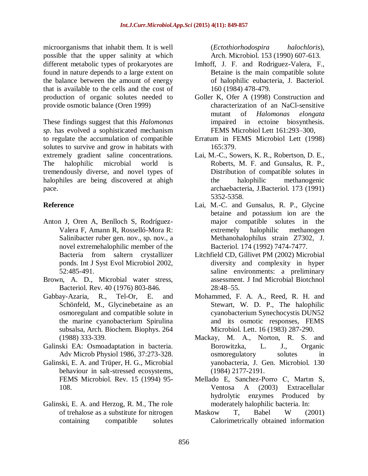microorganisms that inhabit them. It is well possible that the upper salinity at which different metabolic types of prokaryotes are found in nature depends to a large extent on the balance between the amount of energy that is available to the cells and the cost of production of organic solutes needed to provide osmotic balance (Oren 1999)

These findings suggest that this *Halomonas sp*. has evolved a sophisticated mechanism to regulate the accumulation of compatible solutes to survive and grow in habitats with extremely gradient saline concentrations. The halophilic microbial world tremendously diverse, and novel types of halophiles are being discovered at ahigh pace.

### **Reference**

- Anton J, Oren A, Benlloch S, Rodríguez-Valera F, Amann R, Rosselló-Mora R: Salinibacter ruber gen. nov., sp. nov., a novel extremehalophilic member of the Bacteria from saltern crystallizer ponds. Int J Syst Evol Microbiol 2002, 52:485-491.
- Brown, A. D., Microbial water stress, Bacteriol. Rev. 40 (1976) 803-846.
- Gabbay-Azaria, R., Tel-Or, E. and Schönfeld, M., Glycinebetaine as an osmoregulant and compatible solute in the marine cyanobacterium Spirulina subsalsa, Arch. Biochem. Biophys. 264 (1988) 333-339.
- Galinski EA: Osmoadaptation in bacteria. Adv Microb Physiol 1986, 37:273-328.
- Galinski, E. A. and Trüper, H. G., Microbial behaviour in salt-stressed ecosystems, FEMS Microbiol. Rev. 15 (1994) 95- 108.
- Galinski, E. A. and Herzog, R. M., The role of trehalose as a substitute for nitrogen containing compatible solutes

(*Ectothiorhodospira halochloris*), Arch. Microbiol. 153 (1990) 607-613.

- Imhoff, J. F. and Rodriguez-Valera, F., Betaine is the main compatible solute of halophilic eubacteria, J. Bacteriol. 160 (1984) 478-479.
- Goller K, Ofer A (1998) Construction and characterization of an NaCl-sensitive mutant of *Halomonas elongata* impaired in ectoine biosynthesis. FEMS Microbiol Lett 161:293–300,
- Erratum in FEMS Microbiol Lett (1998) 165:379.
- Lai, M.-C., Sowers, K. R., Robertson, D. E., Roberts, M. F. and Gunsalus, R. P., Distribution of compatible solutes in the halophilic methanogenic archaebacteria, J.Bacteriol. 173 (1991) 5352-5358.
- Lai, M.-C. and Gunsalus, R. P., Glycine betaine and potassium ion are the major compatible solutes in the extremely halophilic methanogen Methanohalophilus strain Z7302, J. Bacteriol. 174 (1992) 7474-7477.
- Litchfield CD, Gillivet PM (2002) Microbial diversity and complexity in hyper saline environments: a preliminary assessment. J Ind Microbial Biotchnol 28:48–55.
- Mohammed, F. A. A., Reed, R. H. and Stewart, W. D. P., The halophilic cyanobacterium Synechocystis DUN52 and its osmotic responses, FEMS Microbiol. Lett. 16 (1983) 287-290.
- Mackay, M. A., Norton, R. S. and Borowitzka, L. J., Organic osmoregulatory solutes in yanobacteria, J. Gen. Microbiol. 130 (1984) 2177-2191.
- Mellado E, Sanchez-Porro C, Martın S, Ventosa A (2003) Extracellular hydrolytic enzymes Produced by moderately halophilic bacteria. In:
- Maskow T, Babel W (2001) Calorimetrically obtained information